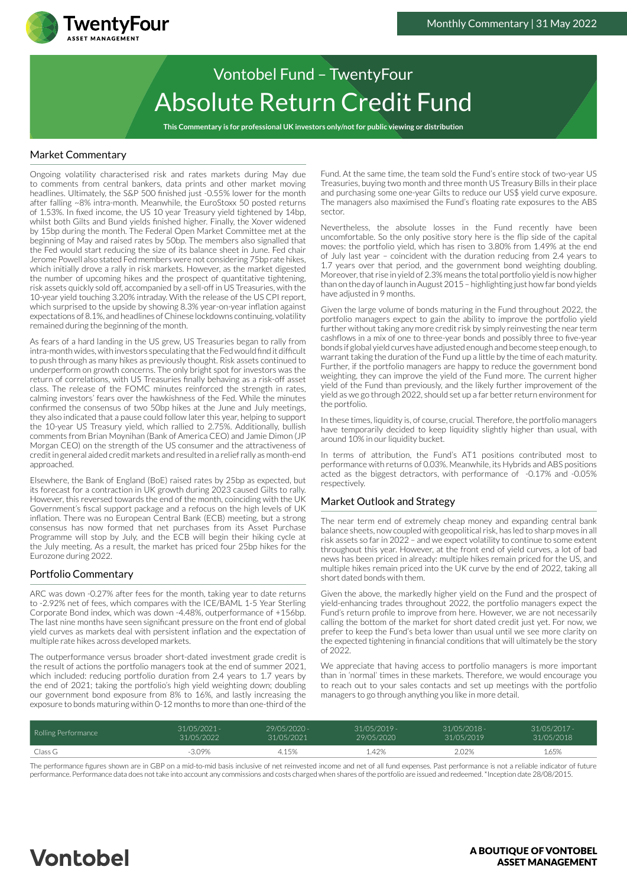

# Absolute Return Credit Fund Vontobel Fund – TwentyFour

**This Commentary is for professional UK investors only/not for public viewing or distribution**

### Market Commentary

Ongoing volatility characterised risk and rates markets during May due to comments from central bankers, data prints and other market moving headlines. Ultimately, the S&P 500 finished just -0.55% lower for the month after falling ~8% intra-month. Meanwhile, the EuroStoxx 50 posted returns of 1.53%. In fixed income, the US 10 year Treasury yield tightened by 14bp, whilst both Gilts and Bund yields finished higher. Finally, the Xover widened by 15bp during the month. The Federal Open Market Committee met at the beginning of May and raised rates by 50bp. The members also signalled that the Fed would start reducing the size of its balance sheet in June. Fed chair Jerome Powell also stated Fed members were not considering 75bp rate hikes, which initially drove a rally in risk markets. However, as the market digested the number of upcoming hikes and the prospect of quantitative tightening, risk assets quickly sold off, accompanied by a sell-off in US Treasuries, with the 10-year yield touching 3.20% intraday. With the release of the US CPI report, which surprised to the upside by showing 8.3% year-on-year inflation against expectations of 8.1%, and headlines of Chinese lockdowns continuing, volatility remained during the beginning of the month.

As fears of a hard landing in the US grew, US Treasuries began to rally from intra-month wides, with investors speculating that the Fed would find it difficult to push through as many hikes as previously thought. Risk assets continued to underperform on growth concerns. The only bright spot for investors was the return of correlations, with US Treasuries finally behaving as a risk-off asset class. The release of the FOMC minutes reinforced the strength in rates, calming investors' fears over the hawkishness of the Fed. While the minutes confirmed the consensus of two 50bp hikes at the June and July meetings, they also indicated that a pause could follow later this year, helping to support the 10-year US Treasury yield, which rallied to 2.75%. Additionally, bullish comments from Brian Moynihan (Bank of America CEO) and Jamie Dimon (JP Morgan CEO) on the strength of the US consumer and the attractiveness of credit in general aided credit markets and resulted in a relief rally as month-end approached.

Elsewhere, the Bank of England (BoE) raised rates by 25bp as expected, but its forecast for a contraction in UK growth during 2023 caused Gilts to rally. However, this reversed towards the end of the month, coinciding with the UK Government's fiscal support package and a refocus on the high levels of UK inflation. There was no European Central Bank (ECB) meeting, but a strong consensus has now formed that net purchases from its Asset Purchase Programme will stop by July, and the ECB will begin their hiking cycle at the July meeting. As a result, the market has priced four 25bp hikes for the Eurozone during 2022.

## Portfolio Commentary

ARC was down -0.27% after fees for the month, taking year to date returns to -2.92% net of fees, which compares with the ICE/BAML 1-5 Year Sterling Corporate Bond index, which was down -4.48%, outperformance of +156bp. The last nine months have seen significant pressure on the front end of global yield curves as markets deal with persistent inflation and the expectation of multiple rate hikes across developed markets.

The outperformance versus broader short-dated investment grade credit is the result of actions the portfolio managers took at the end of summer 2021, which included: reducing portfolio duration from 2.4 years to 1.7 years by the end of 2021; taking the portfolio's high yield weighting down; doubling our government bond exposure from 8% to 16%, and lastly increasing the exposure to bonds maturing within 0-12 months to more than one-third of the

Fund. At the same time, the team sold the Fund's entire stock of two-year US Treasuries, buying two month and three month US Treasury Bills in their place and purchasing some one-year Gilts to reduce our US\$ yield curve exposure. The managers also maximised the Fund's floating rate exposures to the ABS sector.

Nevertheless, the absolute losses in the Fund recently have been uncomfortable. So the only positive story here is the flip side of the capital moves: the portfolio yield, which has risen to 3.80% from 1.49% at the end of July last year – coincident with the duration reducing from 2.4 years to 1.7 years over that period, and the government bond weighting doubling. Moreover, that rise in yield of 2.3% means the total portfolio yield is now higher than on the day of launch in August 2015 – highlighting just how far bond yields have adjusted in 9 months.

Given the large volume of bonds maturing in the Fund throughout 2022, the portfolio managers expect to gain the ability to improve the portfolio yield further without taking any more credit risk by simply reinvesting the near term cashflows in a mix of one to three-year bonds and possibly three to five-year bonds if global yield curves have adjusted enough and become steep enough, to warrant taking the duration of the Fund up a little by the time of each maturity. Further, if the portfolio managers are happy to reduce the government bond weighting, they can improve the yield of the Fund more. The current higher yield of the Fund than previously, and the likely further improvement of the yield as we go through 2022, should set up a far better return environment for the portfolio.

In these times, liquidity is, of course, crucial. Therefore, the portfolio managers have temporarily decided to keep liquidity slightly higher than usual, with around 10% in our liquidity bucket.

In terms of attribution, the Fund's AT1 positions contributed most to performance with returns of 0.03%. Meanwhile, its Hybrids and ABS positions acted as the biggest detractors, with performance of -0.17% and -0.05% respectively.

#### Market Outlook and Strategy

The near term end of extremely cheap money and expanding central bank balance sheets, now coupled with geopolitical risk, has led to sharp moves in all risk assets so far in 2022 – and we expect volatility to continue to some extent throughout this year. However, at the front end of yield curves, a lot of bad news has been priced in already: multiple hikes remain priced for the US, and multiple hikes remain priced into the UK curve by the end of 2022, taking all short dated bonds with them.

Given the above, the markedly higher yield on the Fund and the prospect of yield-enhancing trades throughout 2022, the portfolio managers expect the Fund's return profile to improve from here. However, we are not necessarily calling the bottom of the market for short dated credit just yet. For now, we prefer to keep the Fund's beta lower than usual until we see more clarity on the expected tightening in financial conditions that will ultimately be the story of 2022.

We appreciate that having access to portfolio managers is more important than in 'normal' times in these markets. Therefore, we would encourage you to reach out to your sales contacts and set up meetings with the portfolio managers to go through anything you like in more detail.

| Rolling Performance | 31/05/2021 - | $29/05/2020 -$ | $31/05/2019 -$ | $31/05/2018 -$ | $31/05/2017 -$ |
|---------------------|--------------|----------------|----------------|----------------|----------------|
|                     | 31/05/2022   | 31/05/2021     | 29/05/2020     | 31/05/2019     | 31/05/2018     |
| Class G             | $-3.09\%$    | 4.15%          | 1.42%          | 2.02%          | 1.65%          |

The performance figures shown are in GBP on a mid-to-mid basis inclusive of net reinvested income and net of all fund expenses. Past performance is not a reliable indicator of future performance. Performance data does not take into account any commissions and costs charged when shares of the portfolio are issued and redeemed. \*Inception date 28/08/2015.